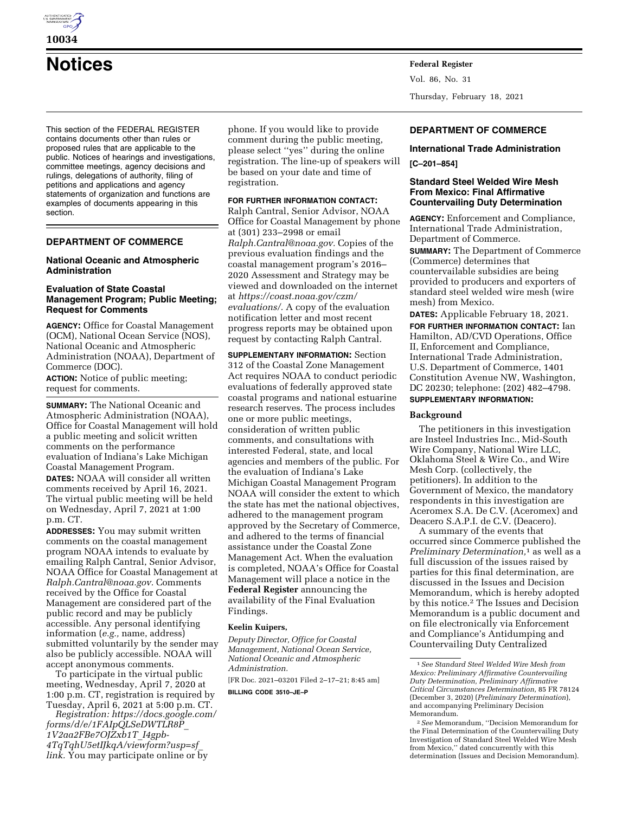

# **Notices Federal Register**

This section of the FEDERAL REGISTER contains documents other than rules or proposed rules that are applicable to the public. Notices of hearings and investigations, committee meetings, agency decisions and rulings, delegations of authority, filing of petitions and applications and agency statements of organization and functions are examples of documents appearing in this section.

# **DEPARTMENT OF COMMERCE**

# **National Oceanic and Atmospheric Administration**

# **Evaluation of State Coastal Management Program; Public Meeting; Request for Comments**

**AGENCY:** Office for Coastal Management (OCM), National Ocean Service (NOS), National Oceanic and Atmospheric Administration (NOAA), Department of Commerce (DOC).

**ACTION:** Notice of public meeting; request for comments.

**SUMMARY:** The National Oceanic and Atmospheric Administration (NOAA), Office for Coastal Management will hold a public meeting and solicit written comments on the performance evaluation of Indiana's Lake Michigan Coastal Management Program. **DATES:** NOAA will consider all written comments received by April 16, 2021.

The virtual public meeting will be held on Wednesday, April 7, 2021 at 1:00 p.m. CT.

**ADDRESSES:** You may submit written comments on the coastal management program NOAA intends to evaluate by emailing Ralph Cantral, Senior Advisor, NOAA Office for Coastal Management at *[Ralph.Cantral@noaa.gov.](mailto:Ralph.Cantral@noaa.gov)* Comments received by the Office for Coastal Management are considered part of the public record and may be publicly accessible. Any personal identifying information (*e.g.,* name, address) submitted voluntarily by the sender may also be publicly accessible. NOAA will accept anonymous comments.

To participate in the virtual public meeting, Wednesday, April 7, 2020 at 1:00 p.m. CT, registration is required by Tuesday, April 6, 2021 at 5:00 p.m. CT.

*Registration: [https://docs.google.com/](https://docs.google.com/forms/d/e/1FAIpQLSeDWTLR8P_1V2aa2FBe7OJZxb1T_I4gpb-4TqTqhU5etIJkqA/viewform?usp=sf_link)  [forms/d/e/1FAIpQLSeDWTLR8P](https://docs.google.com/forms/d/e/1FAIpQLSeDWTLR8P_1V2aa2FBe7OJZxb1T_I4gpb-4TqTqhU5etIJkqA/viewform?usp=sf_link)*\_ *[1V2aa2FBe7OJZxb1T](https://docs.google.com/forms/d/e/1FAIpQLSeDWTLR8P_1V2aa2FBe7OJZxb1T_I4gpb-4TqTqhU5etIJkqA/viewform?usp=sf_link)*\_*I4gpb-[4TqTqhU5etIJkqA/viewform?usp=sf](https://docs.google.com/forms/d/e/1FAIpQLSeDWTLR8P_1V2aa2FBe7OJZxb1T_I4gpb-4TqTqhU5etIJkqA/viewform?usp=sf_link)*\_ *[link.](https://docs.google.com/forms/d/e/1FAIpQLSeDWTLR8P_1V2aa2FBe7OJZxb1T_I4gpb-4TqTqhU5etIJkqA/viewform?usp=sf_link)* You may participate online or by

phone. If you would like to provide comment during the public meeting, please select ''yes'' during the online registration. The line-up of speakers will be based on your date and time of registration.

## **FOR FURTHER INFORMATION CONTACT:**

Ralph Cantral, Senior Advisor, NOAA Office for Coastal Management by phone at (301) 233–2998 or email *[Ralph.Cantral@noaa.gov.](mailto:Ralph.Cantral@noaa.gov)* Copies of the previous evaluation findings and the coastal management program's 2016– 2020 Assessment and Strategy may be viewed and downloaded on the internet at *[https://coast.noaa.gov/czm/](https://coast.noaa.gov/czm/evaluations/)  [evaluations/.](https://coast.noaa.gov/czm/evaluations/)* A copy of the evaluation notification letter and most recent progress reports may be obtained upon request by contacting Ralph Cantral.

**SUPPLEMENTARY INFORMATION:** Section 312 of the Coastal Zone Management Act requires NOAA to conduct periodic evaluations of federally approved state coastal programs and national estuarine research reserves. The process includes one or more public meetings, consideration of written public comments, and consultations with interested Federal, state, and local agencies and members of the public. For the evaluation of Indiana's Lake Michigan Coastal Management Program NOAA will consider the extent to which the state has met the national objectives, adhered to the management program approved by the Secretary of Commerce, and adhered to the terms of financial assistance under the Coastal Zone Management Act. When the evaluation is completed, NOAA's Office for Coastal Management will place a notice in the **Federal Register** announcing the availability of the Final Evaluation Findings.

#### **Keelin Kuipers,**

*Deputy Director, Office for Coastal Management, National Ocean Service, National Oceanic and Atmospheric Administration.* 

[FR Doc. 2021–03201 Filed 2–17–21; 8:45 am] **BILLING CODE 3510–JE–P** 

Vol. 86, No. 31 Thursday, February 18, 2021

# **DEPARTMENT OF COMMERCE**

#### **International Trade Administration**

**[C–201–854]** 

# **Standard Steel Welded Wire Mesh From Mexico: Final Affirmative Countervailing Duty Determination**

**AGENCY:** Enforcement and Compliance, International Trade Administration, Department of Commerce.

**SUMMARY:** The Department of Commerce (Commerce) determines that countervailable subsidies are being provided to producers and exporters of standard steel welded wire mesh (wire mesh) from Mexico.

**DATES:** Applicable February 18, 2021.

**FOR FURTHER INFORMATION CONTACT:** Ian Hamilton, AD/CVD Operations, Office II, Enforcement and Compliance, International Trade Administration, U.S. Department of Commerce, 1401 Constitution Avenue NW, Washington, DC 20230; telephone: (202) 482–4798. **SUPPLEMENTARY INFORMATION:** 

#### **Background**

The petitioners in this investigation are Insteel Industries Inc., Mid-South Wire Company, National Wire LLC, Oklahoma Steel & Wire Co., and Wire Mesh Corp. (collectively, the petitioners). In addition to the Government of Mexico, the mandatory respondents in this investigation are Aceromex S.A. De C.V. (Aceromex) and Deacero S.A.P.I. de C.V. (Deacero).

A summary of the events that occurred since Commerce published the *Preliminary Determination,*1 as well as a full discussion of the issues raised by parties for this final determination, are discussed in the Issues and Decision Memorandum, which is hereby adopted by this notice.2 The Issues and Decision Memorandum is a public document and on file electronically via Enforcement and Compliance's Antidumping and Countervailing Duty Centralized

<sup>1</sup>*See Standard Steel Welded Wire Mesh from Mexico: Preliminary Affirmative Countervailing Duty Determination, Preliminary Affirmative Critical Circumstances Determination,* 85 FR 78124 (December 3, 2020) (*Preliminary Determination*), and accompanying Preliminary Decision Memorandum.

<sup>2</sup>*See* Memorandum, ''Decision Memorandum for the Final Determination of the Countervailing Duty Investigation of Standard Steel Welded Wire Mesh from Mexico,'' dated concurrently with this determination (Issues and Decision Memorandum).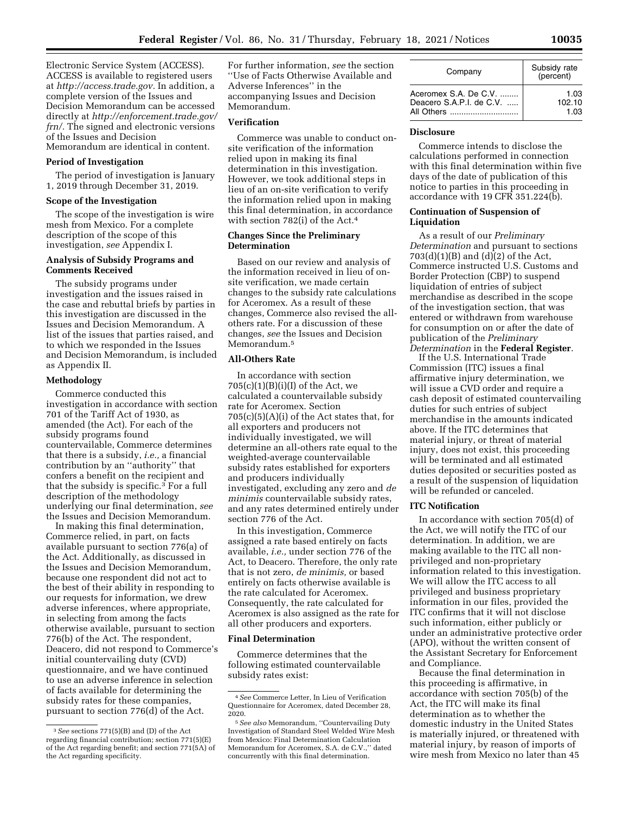Electronic Service System (ACCESS). ACCESS is available to registered users at *[http://access.trade.gov.](http://access.trade.gov)* In addition, a complete version of the Issues and Decision Memorandum can be accessed directly at *[http://enforcement.trade.gov/](http://enforcement.trade.gov/frn/)  [frn/.](http://enforcement.trade.gov/frn/)* The signed and electronic versions of the Issues and Decision Memorandum are identical in content.

**Period of Investigation** 

The period of investigation is January 1, 2019 through December 31, 2019.

## **Scope of the Investigation**

The scope of the investigation is wire mesh from Mexico. For a complete description of the scope of this investigation, *see* Appendix I.

## **Analysis of Subsidy Programs and Comments Received**

The subsidy programs under investigation and the issues raised in the case and rebuttal briefs by parties in this investigation are discussed in the Issues and Decision Memorandum. A list of the issues that parties raised, and to which we responded in the Issues and Decision Memorandum, is included as Appendix II.

#### **Methodology**

Commerce conducted this investigation in accordance with section 701 of the Tariff Act of 1930, as amended (the Act). For each of the subsidy programs found countervailable, Commerce determines that there is a subsidy, *i.e.,* a financial contribution by an ''authority'' that confers a benefit on the recipient and that the subsidy is specific.3 For a full description of the methodology underlying our final determination, *see*  the Issues and Decision Memorandum.

In making this final determination, Commerce relied, in part, on facts available pursuant to section 776(a) of the Act. Additionally, as discussed in the Issues and Decision Memorandum, because one respondent did not act to the best of their ability in responding to our requests for information, we drew adverse inferences, where appropriate, in selecting from among the facts otherwise available, pursuant to section 776(b) of the Act. The respondent, Deacero, did not respond to Commerce's initial countervailing duty (CVD) questionnaire, and we have continued to use an adverse inference in selection of facts available for determining the subsidy rates for these companies, pursuant to section 776(d) of the Act.

For further information, *see* the section ''Use of Facts Otherwise Available and Adverse Inferences'' in the accompanying Issues and Decision Memorandum.

#### **Verification**

Commerce was unable to conduct onsite verification of the information relied upon in making its final determination in this investigation. However, we took additional steps in lieu of an on-site verification to verify the information relied upon in making this final determination, in accordance with section 782(i) of the Act.4

## **Changes Since the Preliminary Determination**

Based on our review and analysis of the information received in lieu of onsite verification, we made certain changes to the subsidy rate calculations for Aceromex. As a result of these changes, Commerce also revised the allothers rate. For a discussion of these changes, *see* the Issues and Decision Memorandum.5

# **All-Others Rate**

In accordance with section  $705(c)(1)(B)(i)(I)$  of the Act, we calculated a countervailable subsidy rate for Aceromex. Section  $705(c)(5)(A)(i)$  of the Act states that, for all exporters and producers not individually investigated, we will determine an all-others rate equal to the weighted-average countervailable subsidy rates established for exporters and producers individually investigated, excluding any zero and *de minimis* countervailable subsidy rates, and any rates determined entirely under section 776 of the Act.

In this investigation, Commerce assigned a rate based entirely on facts available, *i.e.,* under section 776 of the Act, to Deacero. Therefore, the only rate that is not zero, *de minimis,* or based entirely on facts otherwise available is the rate calculated for Aceromex. Consequently, the rate calculated for Aceromex is also assigned as the rate for all other producers and exporters.

#### **Final Determination**

Commerce determines that the following estimated countervailable subsidy rates exist:

| Company                  | Subsidy rate<br>(percent) |  |
|--------------------------|---------------------------|--|
| Aceromex S.A. De C.V.    | 1.03                      |  |
| Deacero S.A.P.I. de C.V. | 102.10                    |  |
| All Others               | 1.03                      |  |

#### **Disclosure**

Commerce intends to disclose the calculations performed in connection with this final determination within five days of the date of publication of this notice to parties in this proceeding in accordance with 19 CFR 351.224(b).

#### **Continuation of Suspension of Liquidation**

As a result of our *Preliminary Determination* and pursuant to sections 703(d)(1)(B) and (d)(2) of the Act, Commerce instructed U.S. Customs and Border Protection (CBP) to suspend liquidation of entries of subject merchandise as described in the scope of the investigation section, that was entered or withdrawn from warehouse for consumption on or after the date of publication of the *Preliminary Determination* in the **Federal Register**.

If the U.S. International Trade Commission (ITC) issues a final affirmative injury determination, we will issue a CVD order and require a cash deposit of estimated countervailing duties for such entries of subject merchandise in the amounts indicated above. If the ITC determines that material injury, or threat of material injury, does not exist, this proceeding will be terminated and all estimated duties deposited or securities posted as a result of the suspension of liquidation will be refunded or canceled.

# **ITC Notification**

In accordance with section 705(d) of the Act, we will notify the ITC of our determination. In addition, we are making available to the ITC all nonprivileged and non-proprietary information related to this investigation. We will allow the ITC access to all privileged and business proprietary information in our files, provided the ITC confirms that it will not disclose such information, either publicly or under an administrative protective order (APO), without the written consent of the Assistant Secretary for Enforcement and Compliance.

Because the final determination in this proceeding is affirmative, in accordance with section 705(b) of the Act, the ITC will make its final determination as to whether the domestic industry in the United States is materially injured, or threatened with material injury, by reason of imports of wire mesh from Mexico no later than 45

<sup>3</sup>*See* sections 771(5)(B) and (D) of the Act regarding financial contribution; section 771(5)(E) of the Act regarding benefit; and section 771(5A) of the Act regarding specificity.

<sup>4</sup>*See* Commerce Letter, In Lieu of Verification Questionnaire for Aceromex, dated December 28, 2020.

<sup>5</sup>*See also* Memorandum, ''Countervailing Duty Investigation of Standard Steel Welded Wire Mesh from Mexico: Final Determination Calculation Memorandum for Aceromex, S.A. de C.V.,'' dated concurrently with this final determination.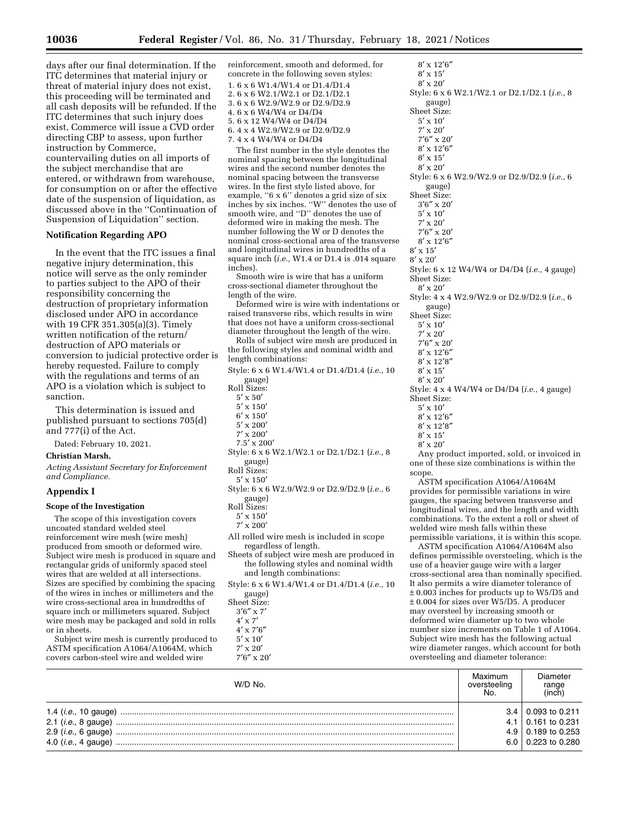days after our final determination. If the ITC determines that material injury or threat of material injury does not exist, this proceeding will be terminated and all cash deposits will be refunded. If the ITC determines that such injury does exist, Commerce will issue a CVD order directing CBP to assess, upon further instruction by Commerce, countervailing duties on all imports of the subject merchandise that are entered, or withdrawn from warehouse, for consumption on or after the effective date of the suspension of liquidation, as discussed above in the ''Continuation of Suspension of Liquidation'' section.

## **Notification Regarding APO**

In the event that the ITC issues a final negative injury determination, this notice will serve as the only reminder to parties subject to the APO of their responsibility concerning the destruction of proprietary information disclosed under APO in accordance with 19 CFR 351.305(a)(3). Timely written notification of the return/ destruction of APO materials or conversion to judicial protective order is hereby requested. Failure to comply with the regulations and terms of an APO is a violation which is subject to sanction.

This determination is issued and published pursuant to sections 705(d) and 777(i) of the Act.

Dated: February 10, 2021.

# **Christian Marsh,**

*Acting Assistant Secretary for Enforcement and Compliance.* 

#### **Appendix I**

# **Scope of the Investigation**

The scope of this investigation covers uncoated standard welded steel reinforcement wire mesh (wire mesh) produced from smooth or deformed wire. Subject wire mesh is produced in square and rectangular grids of uniformly spaced steel wires that are welded at all intersections. Sizes are specified by combining the spacing of the wires in inches or millimeters and the wire cross-sectional area in hundredths of square inch or millimeters squared. Subject wire mesh may be packaged and sold in rolls or in sheets.

Subject wire mesh is currently produced to ASTM specification A1064/A1064M, which covers carbon-steel wire and welded wire

reinforcement, smooth and deformed, for concrete in the following seven styles: 1. 6 x 6 W1.4/W1.4 or D1.4/D1.4 2. 6 x 6 W2.1/W2.1 or D2.1/D2.1 3. 6 x 6 W2.9/W2.9 or D2.9/D2.9 4. 6 x 6 W4/W4 or D4/D4 5. 6 x 12 W4/W4 or D4/D4 6. 4 x 4 W2.9/W2.9 or D2.9/D2.9 7. 4 x 4 W4/W4 or D4/D4

The first number in the style denotes the nominal spacing between the longitudinal wires and the second number denotes the nominal spacing between the transverse wires. In the first style listed above, for example, "6 x 6" denotes a grid size of six inches by six inches. ''W'' denotes the use of smooth wire, and ''D'' denotes the use of deformed wire in making the mesh. The number following the W or D denotes the nominal cross-sectional area of the transverse and longitudinal wires in hundredths of a square inch (*i.e.,* W1.4 or D1.4 is .014 square inches).

Smooth wire is wire that has a uniform cross-sectional diameter throughout the length of the wire.

Deformed wire is wire with indentations or raised transverse ribs, which results in wire that does not have a uniform cross-sectional diameter throughout the length of the wire.

Rolls of subject wire mesh are produced in the following styles and nominal width and length combinations:

Style: 6 x 6 W1.4/W1.4 or D1.4/D1.4 (*i.e.,* 10 gauge)

- Roll Sizes:
	- 5′ x 50′
	- 5′ x 150′
	- 6′ x 150′
	- 5′ x 200′
	- 7′ x 200′
- 7.5′ x 200′ Style: 6 x 6 W2.1/W2.1 or D2.1/D2.1 (*i.e.,* 8 gauge)
- Roll Sizes:
- 5′ x 150′
- Style: 6 x 6 W2.9/W2.9 or D2.9/D2.9 (*i.e.,* 6
- gauge) Roll Sizes:
	- 5′ x 150′
	- 7′ x 200′
- All rolled wire mesh is included in scope regardless of length.
- Sheets of subject wire mesh are produced in the following styles and nominal width and length combinations:
- Style: 6 x 6 W1.4/W1.4 or D1.4/D1.4 (*i.e.,* 10 gauge)

Sheet Size:

- 
- 3′6″ x 7′ 4′ x 7′
- 4′ x 7′6″
- 5′ x 10′
- $7^{\prime}\times20^{\prime}$ 7′6″ x 20′

| $8' \times 12'6''$                                    |
|-------------------------------------------------------|
| $8' \times 15'$                                       |
| $8' \times 20'$                                       |
| Style: 6 x 6 W2.1/W2.1 or D2.1/D2.1 ( <i>i.e.</i> , 8 |
| gauge)                                                |
| Sheet Size:                                           |
| $5' \times 10'$                                       |
| $7' \times 20'$                                       |
| $7'6'' \times 20'$                                    |
| $8' \times 12'6''$                                    |
| $8' \times 15'$                                       |
| $8' \times 20'$                                       |
| Style: 6 x 6 W2.9/W2.9 or D2.9/D2.9 ( <i>i.e.</i> , 6 |
| gauge)                                                |
| Sheet Size:                                           |
|                                                       |
| $3'6'' \times 20'$                                    |
| $5' \times 10'$                                       |
| $7' \times 20'$                                       |
| $7'6'' \times 20'$                                    |
| $8' \times 12'6''$                                    |
| $8^\prime\,{\rm x}\,15^\prime$                        |
| $8' \times 20'$                                       |
| Style: 6 x 12 W4/W4 or D4/D4 ( <i>i.e.</i> , 4 gauge) |
| Sheet Size:                                           |
| $8' \times 20'$                                       |
| Style: 4 x 4 W2.9/W2.9 or D2.9/D2.9 (i.e., 6          |
| gauge)                                                |
| Sheet Size:                                           |
| $5' \times 10'$                                       |
| $7' \times 20'$                                       |
| $7'6'' \times 20'$                                    |
| $8' \times 12'6''$                                    |
| $8' \times 12'8''$                                    |
| $8' \times 15'$                                       |
| $8' \times 20'$                                       |
| Style: 4 x 4 W4/W4 or D4/D4 (i.e., 4 gauge)           |
| Sheet Size:                                           |
| $5' \times 10'$                                       |
| $8' \times 12'6''$                                    |
| $8' \times 12'8''$                                    |
| $8' \times 15'$                                       |
| $8' \times 20'$                                       |
| Any product imported, sold, or invoiced in            |
| one of these size combinations is within the          |
| scope.                                                |

ASTM specification A1064/A1064M provides for permissible variations in wire gauges, the spacing between transverse and longitudinal wires, and the length and width combinations. To the extent a roll or sheet of welded wire mesh falls within these permissible variations, it is within this scope.

ASTM specification A1064/A1064M also defines permissible oversteeling, which is the use of a heavier gauge wire with a larger cross-sectional area than nominally specified. It also permits a wire diameter tolerance of ± 0.003 inches for products up to W5/D5 and ± 0.004 for sizes over W5/D5. A producer may oversteel by increasing smooth or deformed wire diameter up to two whole number size increments on Table 1 of A1064. Subject wire mesh has the following actual wire diameter ranges, which account for both oversteeling and diameter tolerance:

| W/D No.                      | Maximum<br>oversteeling<br>No. | Diameter<br>range<br>(inch) |
|------------------------------|--------------------------------|-----------------------------|
|                              | 34 I                           | 0.093 to 0.211              |
| 2.1 ( <i>i.e.</i> , 8 gauge) |                                | $4.1 \pm 0.161$ to 0.231    |
| 2.9 ( <i>i.e.</i> , 6 gauge) |                                | $4.9 \pm 0.189$ to 0.253    |
|                              |                                | $6.0$   0.223 to 0.280      |
|                              |                                |                             |